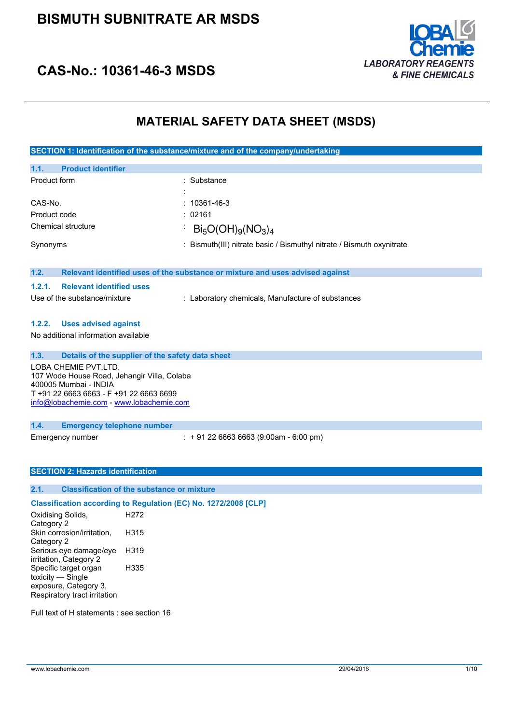### **BISMUTH SUBNITRATE AR MSDS**



### **CAS-No.: 10361-46-3 MSDS**

### **MATERIAL SAFETY DATA SHEET (MSDS)**

**SECTION 1: Identification of the substance/mixture and of the company/undertaking**

| 1.1.<br><b>Product identifier</b> |                                                                       |
|-----------------------------------|-----------------------------------------------------------------------|
| Product form                      | : Substance                                                           |
|                                   |                                                                       |
| CAS-No.                           | $: 10361 - 46 - 3$                                                    |
| Product code                      | : 02161                                                               |
| Chemical structure                | $Bi_5O(OH)_{9}(NO_3)_4$                                               |
| Synonyms                          | : Bismuth(III) nitrate basic / Bismuthyl nitrate / Bismuth oxynitrate |
|                                   |                                                                       |

#### **1.2. Relevant identified uses of the substance or mixture and uses advised against**

| 1.2.1. | <b>Relevant identified uses</b> |  |  |
|--------|---------------------------------|--|--|
|--------|---------------------------------|--|--|

Use of the substance/mixture : Laboratory chemicals, Manufacture of substances

#### **1.2.2. Uses advised against**

No additional information available

| 1.3. | Details of the supplier of the safety data sheet                                                                                                                                    |
|------|-------------------------------------------------------------------------------------------------------------------------------------------------------------------------------------|
|      | LOBA CHEMIE PVT.LTD.<br>107 Wode House Road, Jehangir Villa, Colaba<br>400005 Mumbai - INDIA<br>T +91 22 6663 6663 - F +91 22 6663 6699<br>info@lobachemie.com - www.lobachemie.com |
| 1.4. | <b>Emergency telephone number</b>                                                                                                                                                   |

Emergency number : + 91 22 6663 6663 (9:00am - 6:00 pm)

#### **SECTION 2: Hazards identification**

#### **2.1. Classification of the substance or mixture**

### **Classification according to Regulation (EC) No. 1272/2008 [CLP]**

Oxidising Solids, Category 2 H<sub>272</sub> Skin corrosion/irritation, Category 2 H315 Serious eye damage/eye irritation, Category 2 H319 Specific target organ toxicity — Single exposure, Category 3, Respiratory tract irritation H335

Full text of H statements : see section 16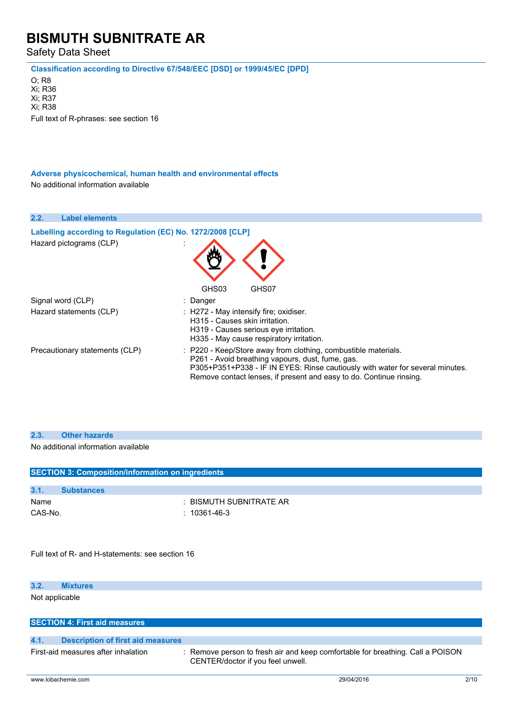Safety Data Sheet

**Classification according to Directive 67/548/EEC [DSD] or 1999/45/EC [DPD]**

O; R8 Xi; R36 Xi; R37 Xi; R38 Full text of R-phrases: see section 16

**Adverse physicochemical, human health and environmental effects** No additional information available

| 2.2.<br><b>Label elements</b>                              |                                                                                                                                                                                                                                                                            |
|------------------------------------------------------------|----------------------------------------------------------------------------------------------------------------------------------------------------------------------------------------------------------------------------------------------------------------------------|
| Labelling according to Regulation (EC) No. 1272/2008 [CLP] |                                                                                                                                                                                                                                                                            |
| Hazard pictograms (CLP)                                    | GHS03<br>GHS07                                                                                                                                                                                                                                                             |
| Signal word (CLP)                                          | : Danger                                                                                                                                                                                                                                                                   |
| Hazard statements (CLP)                                    | : H272 - May intensify fire; oxidiser.<br>H315 - Causes skin irritation.<br>H319 - Causes serious eye irritation.<br>H335 - May cause respiratory irritation.                                                                                                              |
| Precautionary statements (CLP)                             | : P220 - Keep/Store away from clothing, combustible materials.<br>P261 - Avoid breathing vapours, dust, fume, gas.<br>P305+P351+P338 - IF IN EYES: Rinse cautiously with water for several minutes.<br>Remove contact lenses, if present and easy to do. Continue rinsing. |

No additional information available

| <b>SECTION 3: Composition/information on ingredients</b> |                                                                                |
|----------------------------------------------------------|--------------------------------------------------------------------------------|
|                                                          |                                                                                |
| 3.1.<br><b>Substances</b>                                |                                                                                |
| Name                                                     | : BISMUTH SUBNITRATE AR                                                        |
| CAS-No.                                                  | $: 10361 - 46 - 3$                                                             |
|                                                          |                                                                                |
|                                                          |                                                                                |
|                                                          |                                                                                |
| Full text of R- and H-statements: see section 16         |                                                                                |
|                                                          |                                                                                |
|                                                          |                                                                                |
| 3.2.<br><b>Mixtures</b>                                  |                                                                                |
| Not applicable                                           |                                                                                |
|                                                          |                                                                                |
|                                                          |                                                                                |
| <b>SECTION 4: First aid measures</b>                     |                                                                                |
|                                                          |                                                                                |
| 4.1.<br><b>Description of first aid measures</b>         |                                                                                |
| First-aid measures after inhalation                      | : Remove person to fresh air and keep comfortable for breathing. Call a POISON |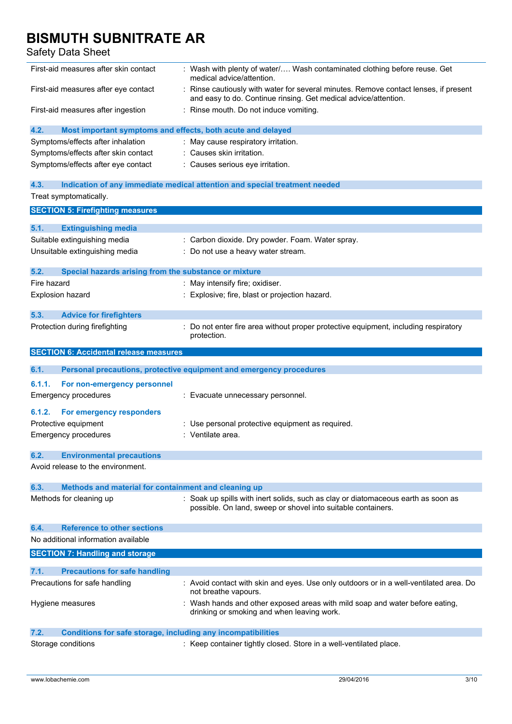| First-aid measures after skin contact                                       | : Wash with plenty of water/ Wash contaminated clothing before reuse. Get<br>medical advice/attention.                                                |
|-----------------------------------------------------------------------------|-------------------------------------------------------------------------------------------------------------------------------------------------------|
| First-aid measures after eye contact                                        | Rinse cautiously with water for several minutes. Remove contact lenses, if present<br>and easy to do. Continue rinsing. Get medical advice/attention. |
| First-aid measures after ingestion                                          | : Rinse mouth. Do not induce vomiting.                                                                                                                |
| 4.2.<br>Most important symptoms and effects, both acute and delayed         |                                                                                                                                                       |
| Symptoms/effects after inhalation                                           | : May cause respiratory irritation.                                                                                                                   |
| Symptoms/effects after skin contact                                         | : Causes skin irritation.                                                                                                                             |
| Symptoms/effects after eye contact                                          | : Causes serious eye irritation.                                                                                                                      |
| 4.3.                                                                        | Indication of any immediate medical attention and special treatment needed                                                                            |
| Treat symptomatically.                                                      |                                                                                                                                                       |
| <b>SECTION 5: Firefighting measures</b>                                     |                                                                                                                                                       |
|                                                                             |                                                                                                                                                       |
| 5.1.<br><b>Extinguishing media</b>                                          |                                                                                                                                                       |
| Suitable extinguishing media                                                | : Carbon dioxide. Dry powder. Foam. Water spray.                                                                                                      |
| Unsuitable extinguishing media                                              | : Do not use a heavy water stream.                                                                                                                    |
| 5.2.<br>Special hazards arising from the substance or mixture               |                                                                                                                                                       |
| Fire hazard                                                                 | : May intensify fire; oxidiser.                                                                                                                       |
| Explosion hazard                                                            | Explosive; fire, blast or projection hazard.                                                                                                          |
|                                                                             |                                                                                                                                                       |
| 5.3.<br><b>Advice for firefighters</b>                                      |                                                                                                                                                       |
| Protection during firefighting                                              | : Do not enter fire area without proper protective equipment, including respiratory<br>protection.                                                    |
| <b>SECTION 6: Accidental release measures</b>                               |                                                                                                                                                       |
|                                                                             |                                                                                                                                                       |
|                                                                             |                                                                                                                                                       |
| 6.1.                                                                        | Personal precautions, protective equipment and emergency procedures                                                                                   |
| 6.1.1.<br>For non-emergency personnel                                       |                                                                                                                                                       |
| <b>Emergency procedures</b>                                                 | : Evacuate unnecessary personnel.                                                                                                                     |
| 6.1.2.<br>For emergency responders                                          |                                                                                                                                                       |
| Protective equipment                                                        | : Use personal protective equipment as required.                                                                                                      |
| Emergency procedures                                                        | : Ventilate area.                                                                                                                                     |
| 6.2.<br><b>Environmental precautions</b>                                    |                                                                                                                                                       |
| Avoid release to the environment.                                           |                                                                                                                                                       |
| 6.3.<br>Methods and material for containment and cleaning up                |                                                                                                                                                       |
| Methods for cleaning up                                                     | : Soak up spills with inert solids, such as clay or diatomaceous earth as soon as<br>possible. On land, sweep or shovel into suitable containers.     |
| <b>Reference to other sections</b><br>6.4.                                  |                                                                                                                                                       |
| No additional information available                                         |                                                                                                                                                       |
| <b>SECTION 7: Handling and storage</b>                                      |                                                                                                                                                       |
| 7.1.                                                                        |                                                                                                                                                       |
| <b>Precautions for safe handling</b><br>Precautions for safe handling       | : Avoid contact with skin and eyes. Use only outdoors or in a well-ventilated area. Do                                                                |
| Hygiene measures                                                            | not breathe vapours.<br>: Wash hands and other exposed areas with mild soap and water before eating,<br>drinking or smoking and when leaving work.    |
| 7.2.<br><b>Conditions for safe storage, including any incompatibilities</b> |                                                                                                                                                       |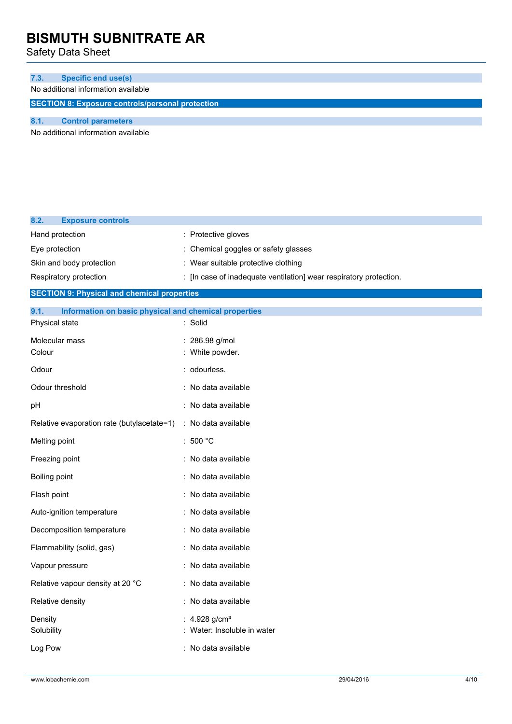Safety Data Sheet

| 7.3. | Specific end use(s)                                     |
|------|---------------------------------------------------------|
|      | No additional information available                     |
|      | <b>SECTION 8: Exposure controls/personal protection</b> |
|      |                                                         |

**8.1. Control parameters**

No additional information available

| 8.2.<br><b>Exposure controls</b>                              |                                                                    |
|---------------------------------------------------------------|--------------------------------------------------------------------|
| Hand protection                                               | : Protective gloves                                                |
| Eye protection                                                | : Chemical goggles or safety glasses                               |
| Skin and body protection                                      | : Wear suitable protective clothing                                |
| Respiratory protection                                        | : [In case of inadequate ventilation] wear respiratory protection. |
| <b>SECTION 9: Physical and chemical properties</b>            |                                                                    |
| 9.1.<br>Information on basic physical and chemical properties |                                                                    |
| Physical state                                                | : Solid                                                            |
| Molecular mass                                                | : 286.98 g/mol                                                     |
| Colour                                                        | : White powder.                                                    |
| Odour                                                         | : odourless.                                                       |
| Odour threshold                                               | : No data available                                                |
| pН                                                            | : No data available                                                |
| Relative evaporation rate (butylacetate=1)                    | : No data available                                                |
| Melting point                                                 | : 500 $^{\circ}$ C                                                 |
| Freezing point                                                | : No data available                                                |
| Boiling point                                                 | : No data available                                                |
| Flash point                                                   | : No data available                                                |
| Auto-ignition temperature                                     | : No data available                                                |
| Decomposition temperature                                     | : No data available                                                |
| Flammability (solid, gas)                                     | : No data available                                                |
| Vapour pressure                                               | : No data available                                                |
| Relative vapour density at 20 °C                              | : No data available                                                |
| Relative density                                              | : No data available                                                |
| Density<br>Solubility                                         | : 4.928 g/cm <sup>3</sup><br>Water: Insoluble in water             |
| Log Pow                                                       | : No data available                                                |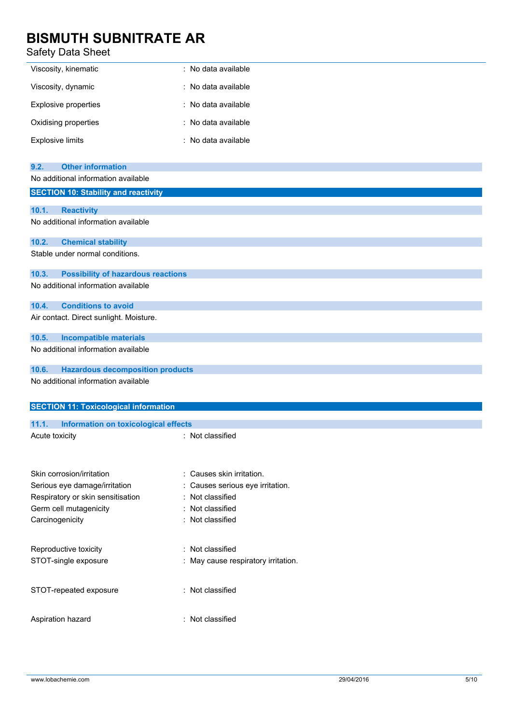| Viscosity, kinematic    | : No data available |
|-------------------------|---------------------|
| Viscosity, dynamic      | : No data available |
| Explosive properties    | : No data available |
| Oxidising properties    | : No data available |
| <b>Explosive limits</b> | : No data available |

| <b>Other information</b><br>9.2.                   |                                     |
|----------------------------------------------------|-------------------------------------|
| No additional information available                |                                     |
| <b>SECTION 10: Stability and reactivity</b>        |                                     |
|                                                    |                                     |
| 10.1.<br><b>Reactivity</b>                         |                                     |
| No additional information available                |                                     |
| 10.2.<br><b>Chemical stability</b>                 |                                     |
| Stable under normal conditions.                    |                                     |
|                                                    |                                     |
| <b>Possibility of hazardous reactions</b><br>10.3. |                                     |
| No additional information available                |                                     |
| <b>Conditions to avoid</b><br>10.4.                |                                     |
| Air contact. Direct sunlight. Moisture.            |                                     |
| 10.5.                                              |                                     |
| <b>Incompatible materials</b>                      |                                     |
| No additional information available                |                                     |
| 10.6.<br><b>Hazardous decomposition products</b>   |                                     |
| No additional information available                |                                     |
|                                                    |                                     |
| <b>SECTION 11: Toxicological information</b>       |                                     |
| 11.1.<br>Information on toxicological effects      |                                     |
| Acute toxicity                                     | : Not classified                    |
|                                                    |                                     |
|                                                    |                                     |
| Skin corrosion/irritation                          | : Causes skin irritation.           |
| Serious eye damage/irritation                      | Causes serious eye irritation.      |
| Respiratory or skin sensitisation                  | Not classified                      |
| Germ cell mutagenicity                             | : Not classified                    |
| Carcinogenicity                                    | : Not classified                    |
|                                                    |                                     |
| Reproductive toxicity                              | : Not classified                    |
| STOT-single exposure                               | : May cause respiratory irritation. |
|                                                    |                                     |
|                                                    | : Not classified                    |
| STOT-repeated exposure                             |                                     |
|                                                    |                                     |
| Aspiration hazard                                  | : Not classified                    |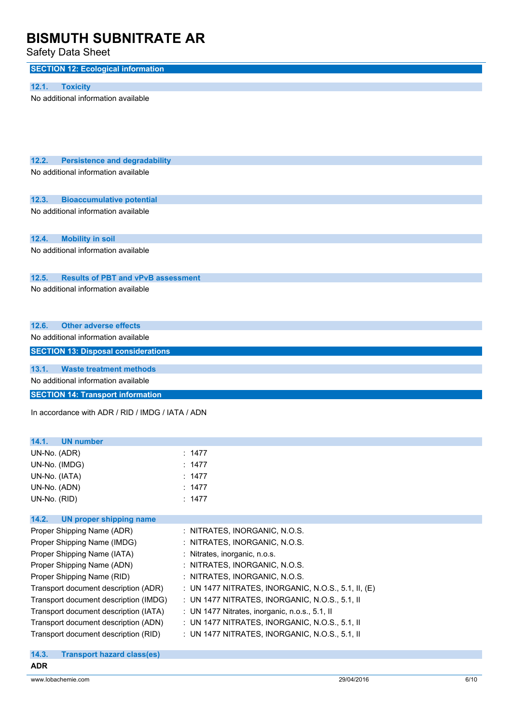| <b>SECTION 12: Ecological information</b>          |                                                     |
|----------------------------------------------------|-----------------------------------------------------|
| <b>Toxicity</b><br>12.1.                           |                                                     |
| No additional information available                |                                                     |
| 12.2.<br><b>Persistence and degradability</b>      |                                                     |
| No additional information available                |                                                     |
| 12.3.<br><b>Bioaccumulative potential</b>          |                                                     |
| No additional information available                |                                                     |
| <b>Mobility in soil</b><br>12.4.                   |                                                     |
| No additional information available                |                                                     |
| <b>Results of PBT and vPvB assessment</b><br>12.5. |                                                     |
| No additional information available                |                                                     |
| 12.6.<br><b>Other adverse effects</b>              |                                                     |
| No additional information available                |                                                     |
| <b>SECTION 13: Disposal considerations</b>         |                                                     |
| 13.1.<br><b>Waste treatment methods</b>            |                                                     |
| No additional information available                |                                                     |
| <b>SECTION 14: Transport information</b>           |                                                     |
| In accordance with ADR / RID / IMDG / IATA / ADN   |                                                     |
| 14.1.<br>UN number                                 |                                                     |
| UN-No. (ADR)                                       | : 1477                                              |
| UN-No. (IMDG)                                      | : $1477$                                            |
| UN-No. (IATA)                                      | : $1477$                                            |
| UN-No. (ADN)                                       | : $1477$                                            |
| UN-No. (RID)                                       | : $1477$                                            |
| 14.2.<br><b>UN proper shipping name</b>            |                                                     |
| Proper Shipping Name (ADR)                         | : NITRATES, INORGANIC, N.O.S.                       |
| Proper Shipping Name (IMDG)                        | : NITRATES, INORGANIC, N.O.S.                       |
| Proper Shipping Name (IATA)                        | : Nitrates, inorganic, n.o.s.                       |
| Proper Shipping Name (ADN)                         | : NITRATES, INORGANIC, N.O.S.                       |
| Proper Shipping Name (RID)                         | : NITRATES, INORGANIC, N.O.S.                       |
|                                                    |                                                     |
| Transport document description (ADR)               | : UN 1477 NITRATES, INORGANIC, N.O.S., 5.1, II, (E) |
| Transport document description (IMDG)              | : UN 1477 NITRATES, INORGANIC, N.O.S., 5.1, II      |
| Transport document description (IATA)              | : UN 1477 Nitrates, inorganic, n.o.s., 5.1, II      |
| Transport document description (ADN)               | : UN 1477 NITRATES, INORGANIC, N.O.S., 5.1, II      |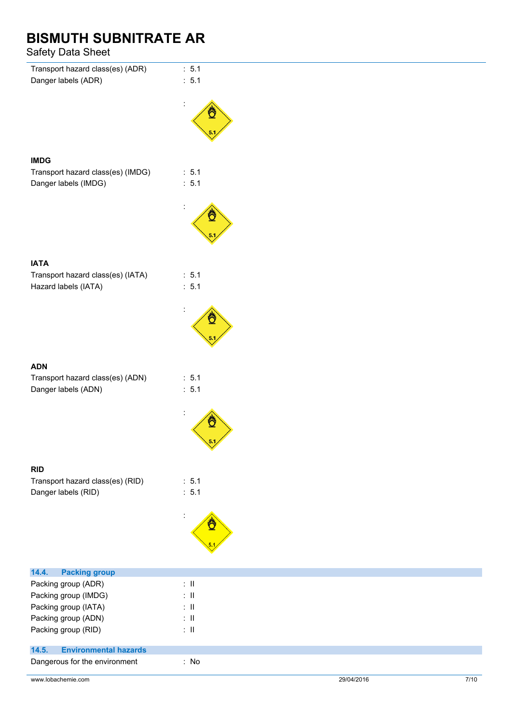| Transport hazard class(es) (ADR)      | : 5.1           |
|---------------------------------------|-----------------|
| Danger labels (ADR)                   | : 5.1           |
|                                       |                 |
|                                       |                 |
|                                       |                 |
|                                       |                 |
|                                       |                 |
|                                       |                 |
| <b>IMDG</b>                           |                 |
| Transport hazard class(es) (IMDG)     | : 5.1           |
| Danger labels (IMDG)                  | : 5.1           |
|                                       |                 |
|                                       |                 |
|                                       |                 |
|                                       |                 |
|                                       |                 |
| <b>IATA</b>                           |                 |
| Transport hazard class(es) (IATA)     | : 5.1           |
| Hazard labels (IATA)                  | : 5.1           |
|                                       |                 |
|                                       |                 |
|                                       |                 |
|                                       |                 |
|                                       |                 |
|                                       |                 |
| <b>ADN</b>                            |                 |
| Transport hazard class(es) (ADN)      | : 5.1           |
| Danger labels (ADN)                   | : 5.1           |
|                                       |                 |
|                                       |                 |
|                                       | ₾               |
|                                       | 5.1             |
|                                       | v               |
| <b>RID</b>                            |                 |
| Transport hazard class(es) (RID)      | : 5.1           |
| Danger labels (RID)                   | : 5.1           |
|                                       |                 |
|                                       |                 |
|                                       |                 |
|                                       |                 |
|                                       |                 |
|                                       |                 |
| 14.4.<br><b>Packing group</b>         |                 |
| Packing group (ADR)                   | $\therefore$ II |
| Packing group (IMDG)                  | $\therefore$ II |
| Packing group (IATA)                  | $: \mathsf{II}$ |
| Packing group (ADN)                   | $\lesssim 11$   |
| Packing group (RID)                   | $\lesssim 11$   |
| <b>Environmental hazards</b><br>14.5. |                 |
| Dangerous for the environment         | : No            |
|                                       |                 |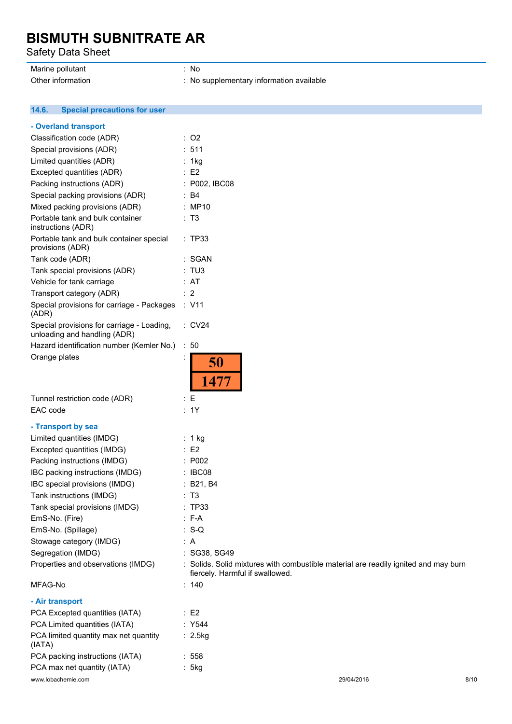Safety Data Sheet

### Marine pollutant in the set of the set of the set of the set of the set of the set of the set of the set of the set of the set of the set of the set of the set of the set of the set of the set of the set of the set of the

Other information **contact to the COSE** of No supplementary information available

#### $14.6.$ **14.6. Special precautions for user**

| - Overland transport                                                       |                                                                                                                        |
|----------------------------------------------------------------------------|------------------------------------------------------------------------------------------------------------------------|
| Classification code (ADR)                                                  | $:$ O2                                                                                                                 |
| Special provisions (ADR)                                                   | : 511                                                                                                                  |
| Limited quantities (ADR)                                                   | : 1kg                                                                                                                  |
| Excepted quantities (ADR)                                                  | $\therefore$ E2                                                                                                        |
| Packing instructions (ADR)                                                 | : P002, IBC08                                                                                                          |
| Special packing provisions (ADR)                                           | $\therefore$ B4                                                                                                        |
| Mixed packing provisions (ADR)                                             | : MP10                                                                                                                 |
| Portable tank and bulk container<br>instructions (ADR)                     | : T3                                                                                                                   |
| Portable tank and bulk container special<br>provisions (ADR)               | : TP33                                                                                                                 |
| Tank code (ADR)                                                            | : SGAN                                                                                                                 |
| Tank special provisions (ADR)                                              | : TUS                                                                                                                  |
| Vehicle for tank carriage                                                  | : AT                                                                                                                   |
| Transport category (ADR)                                                   | $\therefore$ 2                                                                                                         |
| Special provisions for carriage - Packages<br>(ADR)                        | : V11                                                                                                                  |
| Special provisions for carriage - Loading,<br>unloading and handling (ADR) | : CV24                                                                                                                 |
| Hazard identification number (Kemler No.)                                  | :50                                                                                                                    |
| Orange plates                                                              | 50<br>1477                                                                                                             |
| Tunnel restriction code (ADR)                                              | $\colon E$                                                                                                             |
| EAC code                                                                   | : 1Y                                                                                                                   |
| - Transport by sea                                                         |                                                                                                                        |
| Limited quantities (IMDG)                                                  | : 1 kg                                                                                                                 |
| Excepted quantities (IMDG)                                                 | : E2                                                                                                                   |
| Packing instructions (IMDG)                                                | : P002                                                                                                                 |
| IBC packing instructions (IMDG)                                            | : IBC08                                                                                                                |
| IBC special provisions (IMDG)                                              |                                                                                                                        |
| Tank instructions (IMDG)                                                   | : B21, B4<br>: T3                                                                                                      |
|                                                                            |                                                                                                                        |
| Tank special provisions (IMDG)                                             | : TP33                                                                                                                 |
| EmS-No. (Fire)                                                             | : F-A                                                                                                                  |
| EmS-No. (Spillage)                                                         | $: S-Q$                                                                                                                |
| Stowage category (IMDG)                                                    | : A                                                                                                                    |
| Segregation (IMDG)                                                         | : SG38, SG49                                                                                                           |
| Properties and observations (IMDG)                                         | : Solids. Solid mixtures with combustible material are readily ignited and may burn<br>fiercely. Harmful if swallowed. |
| MFAG-No                                                                    | : 140                                                                                                                  |
| - Air transport                                                            |                                                                                                                        |
| PCA Excepted quantities (IATA)                                             | $\therefore$ E2                                                                                                        |
| PCA Limited quantities (IATA)                                              | : Y544                                                                                                                 |
| PCA limited quantity max net quantity<br>(IATA)                            | : 2.5kg                                                                                                                |
| PCA packing instructions (IATA)                                            | : 558                                                                                                                  |
| PCA max net quantity (IATA)                                                | : 5kg                                                                                                                  |
| www.lobachemie.com                                                         | 29/04/2016<br>8/10                                                                                                     |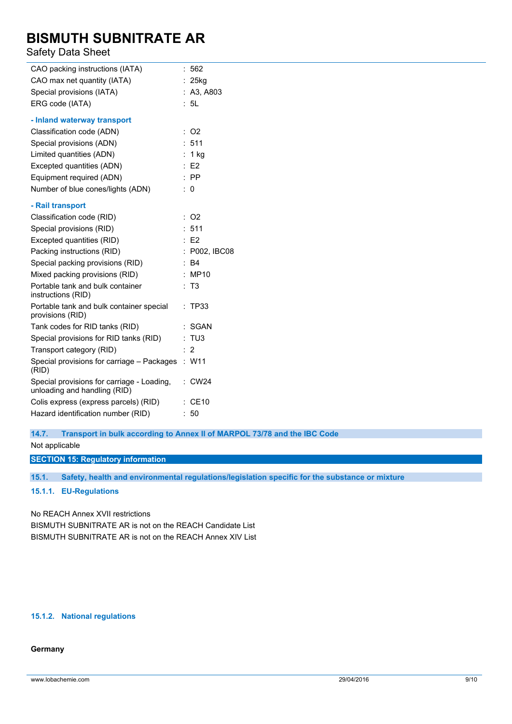### Safety Data Sheet

| CAO packing instructions (IATA)                                            | ÷. | 562            |
|----------------------------------------------------------------------------|----|----------------|
| CAO max net quantity (IATA)                                                |    | $: 25$ kg      |
| Special provisions (IATA)                                                  |    | A3, A803       |
| ERG code (IATA)                                                            |    | : 5L           |
| - Inland waterway transport                                                |    |                |
| Classification code (ADN)                                                  | ÷. | O <sub>2</sub> |
| Special provisions (ADN)                                                   |    | : 511          |
| Limited quantities (ADN)                                                   | ÷. | 1 kg           |
| Excepted quantities (ADN)                                                  |    | E2             |
| Equipment required (ADN)                                                   |    | <b>PP</b>      |
| Number of blue cones/lights (ADN)                                          | ÷  | 0              |
| - Rail transport                                                           |    |                |
| Classification code (RID)                                                  | ÷. | O <sub>2</sub> |
| Special provisions (RID)                                                   |    | 511            |
| Excepted quantities (RID)                                                  |    | E2             |
| Packing instructions (RID)                                                 |    | P002, IBC08    |
| Special packing provisions (RID)                                           |    | B4             |
| Mixed packing provisions (RID)                                             |    | <b>MP10</b>    |
| Portable tank and bulk container<br>instructions (RID)                     |    | T <sub>3</sub> |
| Portable tank and bulk container special<br>provisions (RID)               | ÷  | <b>TP33</b>    |
| Tank codes for RID tanks (RID)                                             |    | <b>SGAN</b>    |
| Special provisions for RID tanks (RID)                                     |    | : TUS          |
| Transport category (RID)                                                   |    | $\overline{2}$ |
| Special provisions for carriage - Packages : W11<br>(RID)                  |    |                |
| Special provisions for carriage - Loading,<br>unloading and handling (RID) | ÷  | <b>CW24</b>    |
| Colis express (express parcels) (RID)                                      |    | <b>CE10</b>    |
| Hazard identification number (RID)                                         |    | 50             |

#### **14.7. Transport in bulk according to Annex II of MARPOL 73/78 and the IBC Code**

Not applicable

**SECTION 15: Regulatory information**

**15.1. Safety, health and environmental regulations/legislation specific for the substance or mixture**

#### **15.1.1. EU-Regulations**

No REACH Annex XVII restrictions

BISMUTH SUBNITRATE AR is not on the REACH Candidate List BISMUTH SUBNITRATE AR is not on the REACH Annex XIV List

### **15.1.2. National regulations**

### **Germany**